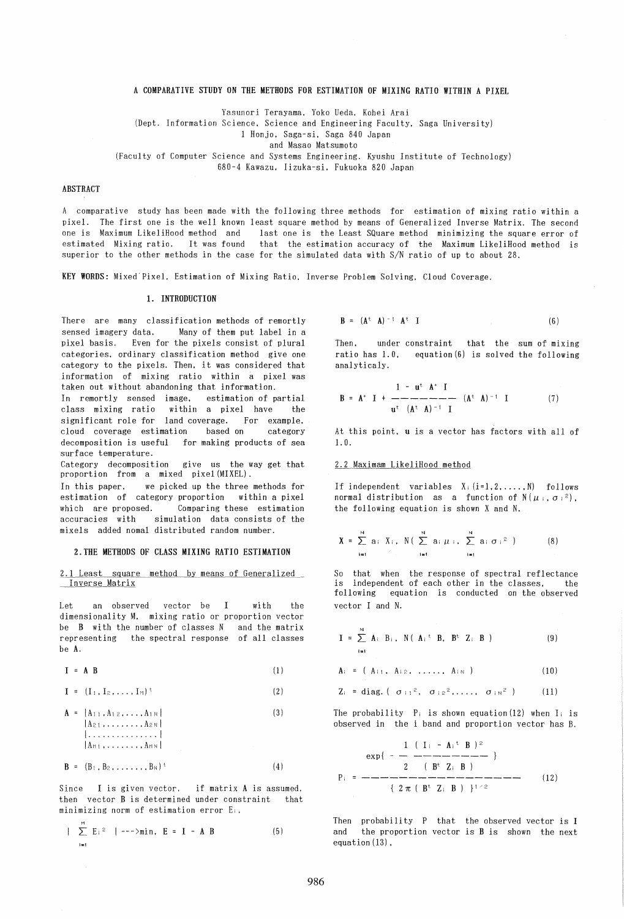# A COMPARATIVE STUDY ON THE METHODS FOR ESTIMATION OF MIXING RATIO WITHIN A PIXEL

Yasunori Terayama. Yoko Ueda. Kohei Arai

(Dept. Information Science. Science and Engineering Faculty. Saga University)

I Honjo. Saga-si. Saga 840 Japan

and Masao Matsumoto

(Faculty of Computer Science and Systems Engineering. Kyushu Institute of Technology)

680-4 Kawazu. Iizuka-si. Fukuoka 820 Japan

# ABSTRACT

A comparative study has been made with the following three methods for estimation of mixing ratio within a pixel. The first one is the well known least square method by means of Generalized Inverse Matrix. The second last one is the Least SQuare method minimizing the square error of estimated Mixing ratio. It was found that the estimation accuracy of the Maximum LikeliHood method is superior to the other methods in the case for the simulated data with *SIN* ratio of up to about 28.

KEY WORDS: Mixed"Pixel. Estimation of Mixing Ratio. Inverse Problem Solving. Cloud Coverage.

#### 1. INTRODUCTION

There are many classification methods of remortly sensed imagery data. Many of them put label in a pixel basis. Even for the pixels consist of plural categories. ordinary classification method give one category to the pixels. Then. it was considered that information of mixing ratio within a pixel was taken out without abandoning that information.

In remortly sensed image, estimation of partial<br>class mixing ratio within a pixel have the within a pixel have the significant role for land coverage. For example. cloud coverage estimation based on category decomposition is useful for making products of sea surface temperature.

Category decomposition give us the way get that proportion from a mixed pixel (MIXEL) .

In this paper. we picked up the three methods for estimation of category proportion within a pixel which are proposed. Comparing these estimation accuracies with simulation data consists of the mixels added nomal distributed random number.

#### l.THE METHODS OF CLASS MIXING RATIO ESTIMATION

2.1 Least square method by means of Generalized Inverse Matrix

Let an observed vector be I with the dimensionality M. mixing ratio or proportion vector be B with the number of classes N and the matrix representing the spectral response of all classes be A.

 $I = A B$ (1)

$$
\mathbf{I} = (\mathbf{I}_1, \mathbf{I}_2, \dots, \mathbf{I}_N)^{\mathrm{t}}
$$
 (2)

$$
\mathbf{A} = [A_{1 1}, A_{1 2}, \dots, A_{1 N}]
$$
  
\n
$$
A_{2 1}, \dots, A_{2 N}
$$
  
\n
$$
A_{N 1}, \dots, A_{1 N}
$$
  
\n
$$
A_{N 1}, \dots, A_{1 N}
$$
  
\n(3)

$$
\mathbf{B} = (\mathbf{B}_1, \mathbf{B}_2, \dots, \mathbf{B}_N)^{\mathrm{t}} \tag{4}
$$

Since I is given vector, if matrix A is assumed. then vector B is determined under constraint that minimizing norm of estimation error Ei,

$$
|\sum_{i=1}^{11} E_i|^2 |---\rangle \min, E = I - A B
$$
 (5)

$$
\mathbf{B} = (\mathbf{A}^{\mathrm{t}} \ \mathbf{A})^{-1} \ \mathbf{A}^{\mathrm{t}} \ \mathbf{I} \tag{6}
$$

Then. under constraint that the sum of mixing ratio has 1.0. equation (6) is solved the following analyticaly.

$$
B = A^* I + \frac{1 - u^t A^* I}{u^t (A^t A)^{-1} I} (A^t A)^{-1} I
$$
 (7)

At this point. u is a vector has factors with all of 1. O.

### 2.2 Maximam LikeliHood method

If independent variables  $X_i$   $(i=1, 2, ..., N)$  follows normal distribution as a function of  $N(\mu_i, \sigma_i^2)$ , the following equation is shown X and N.

$$
X = \sum_{i=1}^{N} a_i X_i, N(\sum_{i=1}^{N} a_i \mu_i, \sum_{i=1}^{N} a_i \sigma_i^2)
$$
 (8)

So that when the response of spectral reflectance is independent of each other in the classes, the<br>following equation is conducted on the observed equation is conducted on the observed vector I and N.

$$
\mathbf{I} = \sum_{i=1}^{N} \mathbf{A}_{i} \mathbf{B}_{i}, \quad \mathbf{N} \left( \mathbf{A}_{i}^{\dagger} \mathbf{B}, \mathbf{B}^{\dagger} \mathbf{Z}_{i} \mathbf{B} \right)
$$
 (9)

$$
A_i = (A_{i1}, A_{i2}, \ldots, A_{iN})
$$
 (10)

$$
Z_i = diag. (\sigma_{i1}^2, \sigma_{i2}^2, \ldots, \sigma_{iN}^2) \qquad (11)
$$

The probability  $P_i$  is shown equation(12) when  $I_i$  is observed in the i band and proportion vector has B.

$$
P_{i} = \frac{1}{\frac{1}{2} \cdot \frac{1}{1} \cdot \frac{1}{1} \cdot \frac{1}{1} \cdot \frac{1}{1} \cdot \frac{1}{1} \cdot \frac{1}{1} \cdot \frac{1}{1} \cdot \frac{1}{1} \cdot \frac{1}{1} \cdot \frac{1}{1} \cdot \frac{1}{1} \cdot \frac{1}{1} \cdot \frac{1}{1} \cdot \frac{1}{1} \cdot \frac{1}{1} \cdot \frac{1}{1} \cdot \frac{1}{1} \cdot \frac{1}{1} \cdot \frac{1}{1} \cdot \frac{1}{1} \cdot \frac{1}{1} \cdot \frac{1}{1} \cdot \frac{1}{1} \cdot \frac{1}{1} \cdot \frac{1}{1} \cdot \frac{1}{1} \cdot \frac{1}{1} \cdot \frac{1}{1} \cdot \frac{1}{1} \cdot \frac{1}{1} \cdot \frac{1}{1} \cdot \frac{1}{1} \cdot \frac{1}{1} \cdot \frac{1}{1} \cdot \frac{1}{1} \cdot \frac{1}{1} \cdot \frac{1}{1} \cdot \frac{1}{1} \cdot \frac{1}{1} \cdot \frac{1}{1} \cdot \frac{1}{1} \cdot \frac{1}{1} \cdot \frac{1}{1} \cdot \frac{1}{1} \cdot \frac{1}{1} \cdot \frac{1}{1} \cdot \frac{1}{1} \cdot \frac{1}{1} \cdot \frac{1}{1} \cdot \frac{1}{1} \cdot \frac{1}{1} \cdot \frac{1}{1} \cdot \frac{1}{1} \cdot \frac{1}{1} \cdot \frac{1}{1} \cdot \frac{1}{1} \cdot \frac{1}{1} \cdot \frac{1}{1} \cdot \frac{1}{1} \cdot \frac{1}{1} \cdot \frac{1}{1} \cdot \frac{1}{1} \cdot \frac{1}{1} \cdot \frac{1}{1} \cdot \frac{1}{1} \cdot \frac{1}{1} \cdot \frac{1}{1} \cdot \frac{1}{1} \cdot \frac{1}{1} \cdot \frac{1}{1} \cdot \frac{1}{1} \cdot \frac{1}{1} \cdot \frac{1}{1} \cdot \frac{1}{1} \cdot \frac{1}{1} \cdot \frac{1}{1} \cdot \frac{1}{1} \cdot \frac{1}{1} \cdot \frac{1}{1} \cdot \frac{1}{1} \cdot \frac{1}{1} \cdot \frac{1}{1} \cdot \frac
$$

Then probability P that the observed vector is I and the proportion vector is B is shown the next equation (13) ,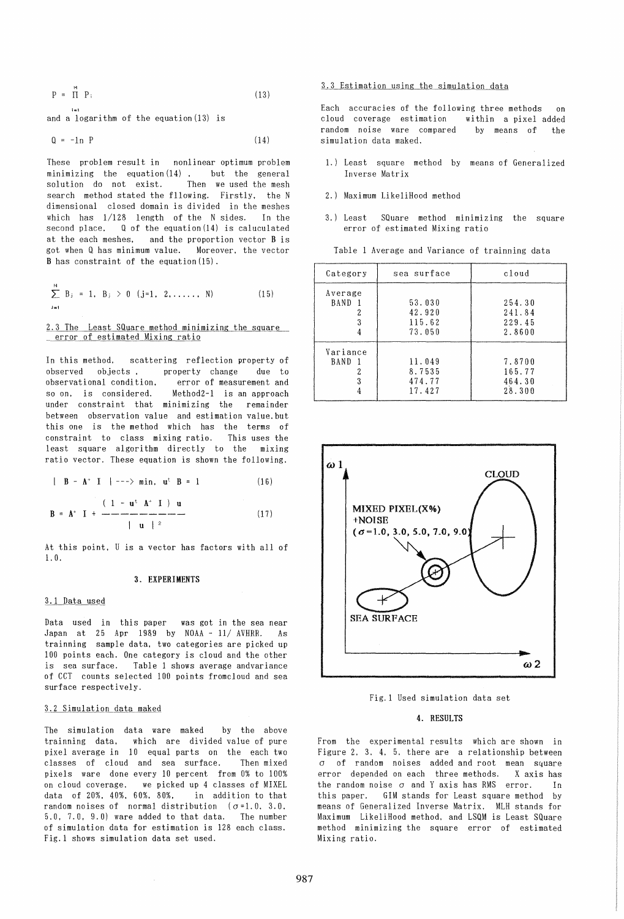$$
P = \prod_{i=1}^{M} P_i \tag{13}
$$

and a logarithm of the equation (13) is

1=1

$$
Q = -1n \quad P \tag{14}
$$

These problem result in nonlinear optimum problem minimizing the equation  $(14)$  . but the general solution do not exist. Then we used the mesh search method stated the f1lowing. Firstly. the N dimensional closed domain is divided in the meshes which has 1/128 length of the N sides. In the second place. Q of the equation(14) is caluculated at the each meshes. and the proportion vector B is got when Q has minimum value. Moreover. the vector B has constraint of the equation (15) .

$$
\sum_{j=1}^{N} B_j = 1, B_j > 0 \quad (j=1, 2, ..., N)
$$
 (15)

2.3 The Least SQuare method minimizing the square error of estimated Mixing ratio

In this method. scattering reflection property of observed objects. property change due to observational condition. error of measurement and so on. is considered. Method2-l is an approach under constraint that minimizing the remainder between observation value and estimation value. but this one is the method which has the terms of constraint to class mixing ratio. This uses the least square algorithm directly to the mixing ratio vector. These equation is shown the following.

$$
|B - A^*|I|
$$
  $|---\rangle min, u^t B = 1$  (16)

$$
B = A^* I + \frac{(1 - u^t A^* I) u}{\| u \|^{2}}
$$
 (17)

At this point. U is a vector has factors with all of 1. O.

# 3. EXPERIMENTS

#### 3.1 Data used

Data used in this paper was got in the sea near Japan at 25 Apr 1989 by NOAA - 11/ AVHRR. As trainning sample data. two categories are picked up 100 points each. One category is cloud and the other is sea surface. Table 1 shows average andvariance of CCT counts selected 100 points fromcloud and sea surface respectively.

#### 3.2 Simulation data maked

The simulation data ware maked by the above trainning data. which are divided value of pure pixel average in 10 equal parts on the each two classes of cloud and sea surface. Then mixed pixels ware done every 10 percent from 0% to 100% on cloud coverage. we picked up 4 classes of MIXEL data of 20%. 40%. 60%. 80%. in addition to that random noises of normal distribution  $(\sigma=1.0, 3.0,$ 5.0. 7.0. 9.0) ware added to that data. The number of simulation data for estimation is 128 each class. Fig.l shows simulation data set used.

#### 3.3 Estimation using the simulation data

Each accuracies of the following three methods on<br>cloud coverage estimation within a pixel added cloud coverage estimation random noise ware compared by means of the simulation data maked.

- 1.) Least square method by means of Generalized Inverse Matrix
- 2.) Maximum LikeliHood method
- 3.) Least SQuare method minimizing the square error of estimated Mixing ratio

| Category                                | sea surface                          | cloud                                |
|-----------------------------------------|--------------------------------------|--------------------------------------|
| Average<br>BAND<br>3                    | 53.030<br>42.920<br>115.62<br>73.050 | 254.30<br>241.84<br>229.45<br>2.8600 |
| Variance<br><b>BAND</b><br>$\mathbf{1}$ | 11.049<br>8.7535<br>474.77<br>17.427 | 7.8700<br>165.77<br>464.30<br>28.300 |

Table 1 Average and Variance of trainning data



Fig.l Used simulation data set

# 4. RESULTS

From the experimental results which are shown in Figure 2. 3. 4. 5. there are a relationship between  $\sigma$  of random noises added and root mean square error depended on each three methods. X axis has the random noise *0* and Y axis has RMS error. In this paper. GIM stands for Least square method by means of Generalized Inverse Matrix. MLH stands for Maximum LikeliHood method. and LSQM is Least SQuare method minimizing the square error of estimated Mixing ratio.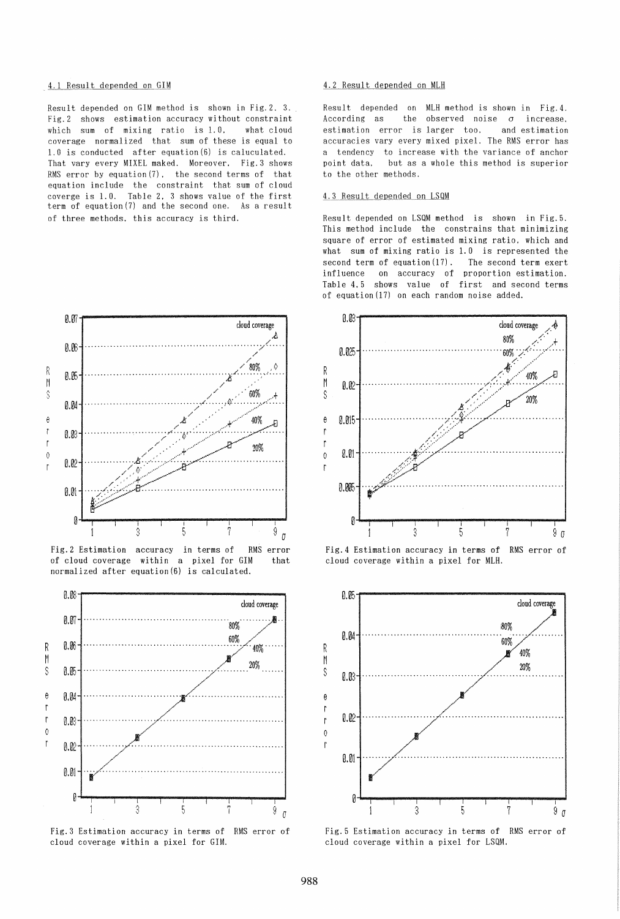#### 4.1 Result depended on GIM

Result depended on GIM method is shown in Fig. 2, 3. Fig. 2 shows estimation accuracy without constraint which sum of mixing ratio is 1.0, what cloud coverage normalized that sum of these is equal to 1.0 is conducted after equation (6) is caluculated. That vary every MIXEL maked. Moreover, Fig. 3 shows RMS error by equation  $(7)$ , the second terms of that equation include the constraint that sum of cloud coverge is 1.0. Table 2, 3 shows value of the first term of equation (7) and the second one. As a result of three methods, this accuracy is third.



Fig. 2 Estimation accuracy in terms of RMS error of cloud coverage within a pixel for GIM that normalized after equation(6) is calculated.



Fig. 3 Estimation accuracy in terms of RMS error of cloud coverage within a pixel for GIM.

#### 4.2 Result depended on MLH

Result depended on MLH method is shown in Fig. 4. According as the observed noise  $\sigma$ increase. estimation error is larger too. and estimation accuracies vary every mixed pixel. The RMS error has a tendency to increase with the variance of anchor point data. but as a whole this method is superior to the other methods.

# 4.3 Result depended on LSQM

Result depended on LSQM method is shown in Fig.5. This method include the constrains that minimizing square of error of estimated mixing ratio, which and what sum of mixing ratio is 1.0 is represented the second term of equation (17). The second term exert influence on accuracy of proportion estimation. Table 4.5 shows value of first and second terms of equation (17) on each random noise added.



RMS error of Fig. 4 Estimation accuracy in terms of cloud coverage within a pixel for MLH.



Fig. 5 Estimation accuracy in terms of RMS error of cloud coverage within a pixel for LSQM.